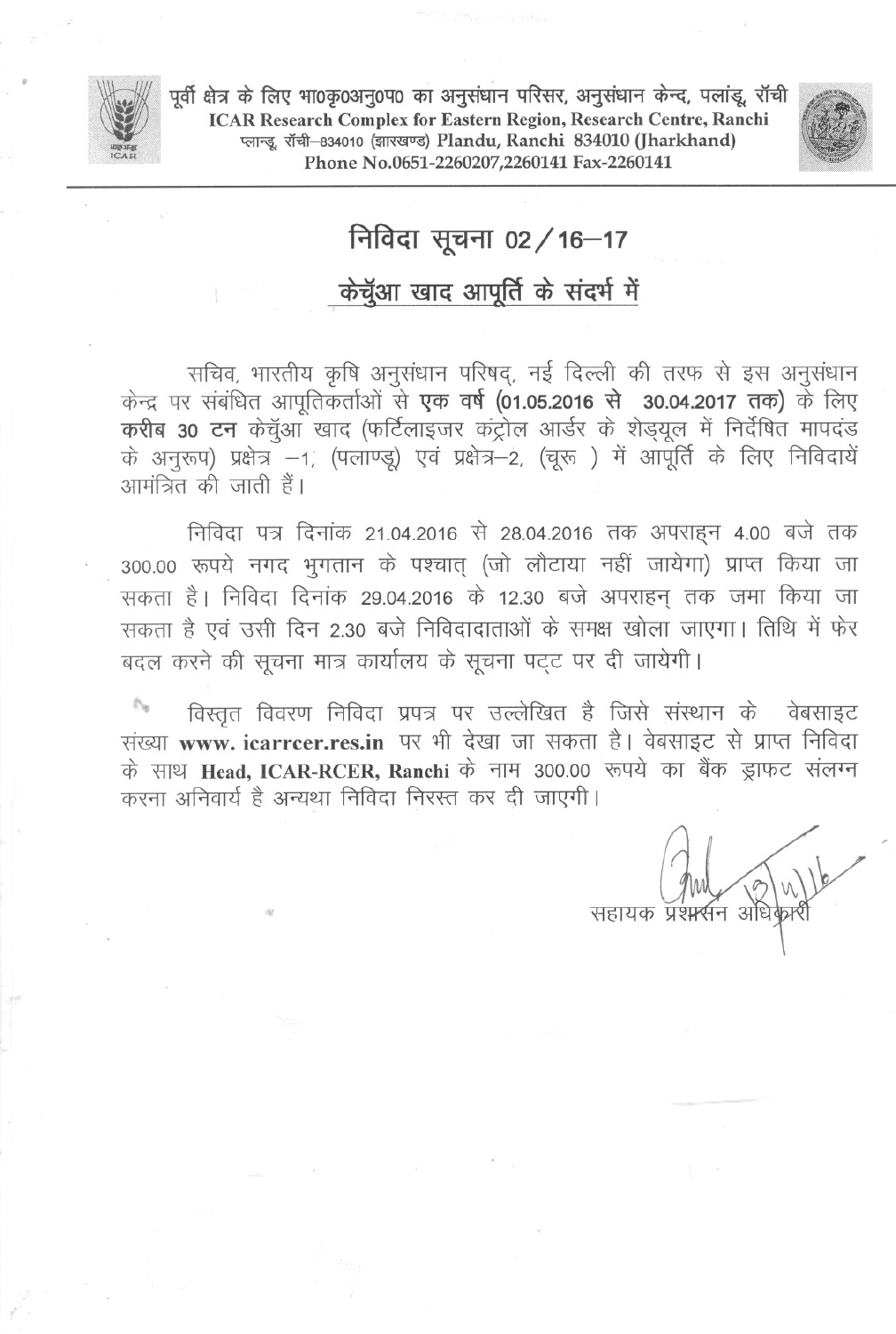

.

पूर्वी क्षेत्र के लिए भा0कृ0अनु0प0 का अनुसंधान परिसर, अनुसंधान केन्द, पलांडू, रॉची<br>ICAR Research Complex for Eastern Region, Research Centre, Ranchi प्लान्डू, रॉची-834010 (झारखण्ड) Plandu, Ranchi 834010 (Jharkhand) Phone No.0651-2260207,2260141 Fax-2260141



## निविदा सूचना 02 / 16-17

## केचूँआ खाद आपूर्ति के संदर्भ में

्मचिव, भारतीय कृषि अनुसंधान परिषद्, नई दिल्ली की तरफ से इस अनुसंधान<br>केन्द्र पर संबंधित आपूतिकर्ताओं से **एक वर्ष (01.05.2016 से 30.04.2017 तक)** के लिए<br>**करीब 30 टन** केचुँआ खाद (फर्टिलाइजर कंट्रोल आर्डर के शेड़यूल में निर्द के अनुरूप) प्रक्षेत्र --1, (पलाण्डू) एवं प्रक्षेत्र--2, (चूरू) में आपूर्ति के लिए निविदायें<br>आमंत्रित की जाती हैं।

निविदा पत्र दिनांक 21.04.2016 से 28.04.2016 तक अपराहन 4.00 बजे तक 300.00 रूपये नगद भुगतान के पश्चात् (जो लौटाया नहीं जायेगा) प्राप्त किया जा सकता है। निविदा दिनांक 29.04.2016 के 12.30 बजे अपराहन तक जमा किया जा सकता है एवं उसी दिन 2.30 बजे निविदादाताओं के समक्ष खोला जाएगा। तिथि में फेर बदल करने की सूचना मात्र कार्यालय के सूचना पट्ट पर दी जायेगी।

ी किस्तृत विवरण निविदा प्रपत्र पर उल्लेखित है जिसे संस्थान के वेबसाइट<br>संख्या www.icarrcer.res.in पर भी देखा जा सकता है। वेबसाइट से प्राप्त निविदा के साथ Head, ICAR-RCER, Ranchi के नाम 300.00 रूपये का बैंक ड्राफट संलग्न करना अनिवार्य है अन्यथा निविदा निरस्त कर दी जाएगी।

सहायक प्रश**स्**न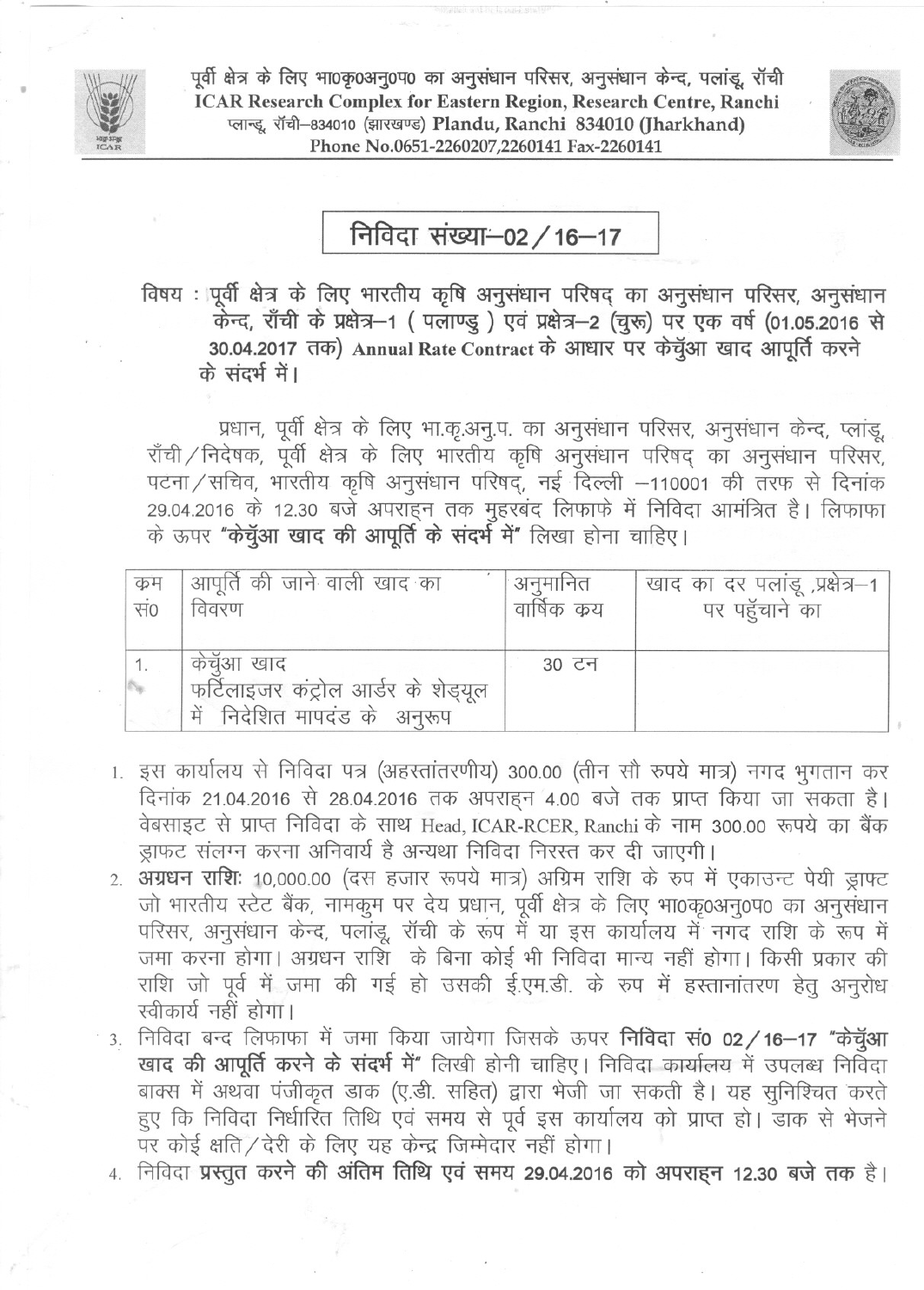

पूर्वी क्षेत्र के लिए भा0कृ0अनु0प0 का अनुसंधान परिसर, अनुसंधान केन्द, पलांडू, रॉची ICAR Research Complex for Eastern Region, Research Centre, Ranchi प्लान्डू, रॉची-834010 (झारखण्ड) Plandu, Ranchi 834010 (Jharkhand) Phone No.0651-2260207,2260141 Fax-2260141



निविदा संख्या-02 / 16-17

विषय : पूर्वी क्षेत्र के लिए भारतीय कृषि अनुसंधान परिषद् का अनुसंधान परिसर, अनुसंधान<br>केन्द, राँची के प्रक्षेत्र—1 ( पलाण्डु ) एवं प्रक्षेत्र—2 (चुरू) पर एक वर्ष (01.05.2016 से 30.04.2017 तक) Annual Rate Contract के आधार पर केचुँआ खाद आपूर्ति करने<br>के संदर्भ में।

प्रधान, पूर्वी क्षेत्र के लिए भा.कृ.अनु.प. का अनुसंधान परिसर, अनुसंधान केन्द, प्लांडू, राँची/निदेषक, पूर्वी क्षेत्र के लिए भारतीय कृषि अनुसंधान परिषद् का अनुसंधान परिसर, पटना/सचिव, भारतीय कृषि अनुसंधान परिषद्, नई दिल्ली -110001 की तरफ से दिनांक 29.04.2016 के 12.30 बजे अपराहन तक मुहरबंद लिफाफे में निविदा आमंत्रित है। लिफाफा के ऊपर "के**च्ँआ खाद की आपूर्ति के संदर्भ में"** लिखा होना चाहिए।

| क्रम                      | आपूर्ति की जाने वाली खाद का                                                       | अनुमानित     | खाद का दर पलांडू ,प्रक्षेत्र–1 |
|---------------------------|-----------------------------------------------------------------------------------|--------------|--------------------------------|
| सं०                       | विवरण                                                                             | वार्षिक क्रय | पर पहुँचाने का                 |
| $\mathcal{D}_{\text{sp}}$ | केचूँआ खाद<br>फर्टिलाइजर कंट्रोल आर्डर के शेड्यूल<br>में निदेशित मापदंड के अनुरूप | 30 टन        |                                |

- 1. इस कार्यालय से निविदा पत्र (अहस्तांतरणीय) 300.00 (तीन सौ रुपये मात्र) नगद भुगतान कर दिनांक 21.04.2016 से 28.04.2016 तक अपराहन 4.00 बजे तक प्राप्त किया जा सकता है। वेबसाइट से प्राप्त निविदा के साथ Head, ICAR-RCER, Ranchi के नाम 300.00 रूपये का बैंक ड़ाफट संलग्न करना अनिवार्य है अन्यथा निविदा निरस्त कर दी जाएगी।
- 2. अग्रधन राशिः 10,000.00 (दस हजार रूपये मात्र) अग्रिम राशि के रूप में एकाउन्ट पेयी ड्राफ्ट जो भारतीय स्टेट बैंक, नामकुम पर देय प्रधान, पूर्वी क्षेत्र के लिए भा0कृ0अनु0प0 का अनुसंधान परिसर, अनुसंधान केन्द, पलांडू, रॉची के रूप में या इस कार्यालय में नगद राशि के रूप में जमा करना होगा। अग्रधन राशि) के बिना कोई भी निविदा मान्य नहीं होगा। किसी प्रकार की राशि जो पूर्व में जमा की गई हो उसकी ई.एम.डी. के रुप में हस्तानांतरण हेतु अनुरोध<br>स्वीकार्य नहीं होगा।
- 3. निविदा बन्द लिफाफा में जमा किया जायेगा जिसके ऊपर **निविदा सं0 02 / 16-17 "केचुॅआ** खाद की आपूर्ति करने के संदर्भ में" लिखी होनी चाहिए। निविदा कार्यालय में उपलब्ध निर्विदा बाक्स में अथवा पंजीकृत डाक (ए.डी. सहित) द्वारा भेजी जा सकती है। यह सुनिश्चित करते हुए कि निविदा निर्धारित तिथि एवं समय से पूर्व इस कार्यालय को प्राप्त हो। डाक से भेजने पर कोई क्षति/देरी के लिए यह केन्द्र जिम्मेदार नहीं होगा।
- 4. निविदा प्रस्तुत करने की अंतिम तिथि एवं समय 29.04.2016 को अपराहन 12.30 बजे तक है।